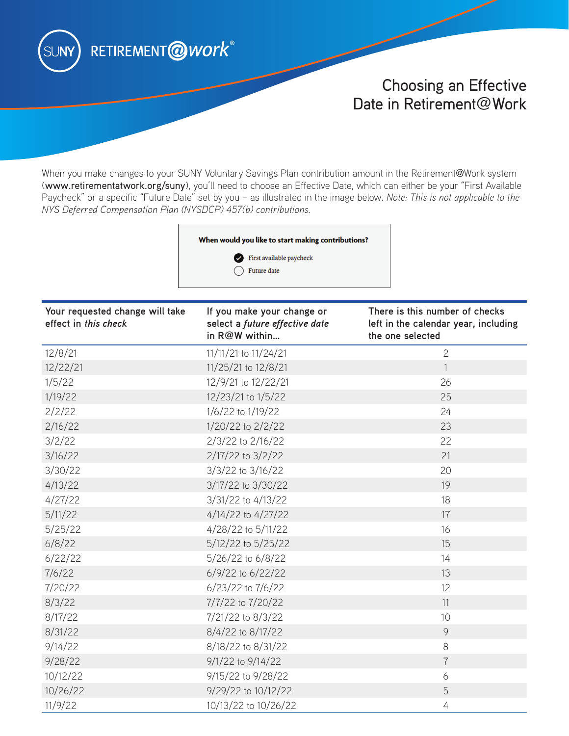

# Choosing an Effective Date in Retirement@Work

When you make changes to your SUNY Voluntary Savings Plan contribution amount in the Retirement@Work system (www.retirementatwork.org/suny), you'll need to choose an Effective Date, which can either be your "First Available Paycheck" or a specific "Future Date" set by you – as illustrated in the image below. *Note: This is not applicable to the NYS Deferred Compensation Plan (NYSDCP) 457(b) contributions.*

#### When would you like to start making contributions?



| Your requested change will take<br>effect in this check | If you make your change or<br>select a future effective date<br>in R@W within | There is this number of checks<br>left in the calendar year, including<br>the one selected |
|---------------------------------------------------------|-------------------------------------------------------------------------------|--------------------------------------------------------------------------------------------|
| 12/8/21                                                 | 11/11/21 to 11/24/21                                                          | $\overline{2}$                                                                             |
| 12/22/21                                                | 11/25/21 to 12/8/21                                                           | $\mathbf{1}$                                                                               |
| 1/5/22                                                  | 12/9/21 to 12/22/21                                                           | 26                                                                                         |
| 1/19/22                                                 | 12/23/21 to 1/5/22                                                            | 25                                                                                         |
| 2/2/22                                                  | 1/6/22 to 1/19/22                                                             | 24                                                                                         |
| 2/16/22                                                 | 1/20/22 to 2/2/22                                                             | 23                                                                                         |
| 3/2/22                                                  | 2/3/22 to 2/16/22                                                             | 22                                                                                         |
| 3/16/22                                                 | 2/17/22 to 3/2/22                                                             | 21                                                                                         |
| 3/30/22                                                 | 3/3/22 to 3/16/22                                                             | 20                                                                                         |
| 4/13/22                                                 | 3/17/22 to 3/30/22                                                            | 19                                                                                         |
| 4/27/22                                                 | 3/31/22 to 4/13/22                                                            | 18                                                                                         |
| 5/11/22                                                 | 4/14/22 to 4/27/22                                                            | 17                                                                                         |
| 5/25/22                                                 | 4/28/22 to 5/11/22                                                            | 16                                                                                         |
| 6/8/22                                                  | 5/12/22 to 5/25/22                                                            | 15                                                                                         |
| 6/22/22                                                 | 5/26/22 to 6/8/22                                                             | 14                                                                                         |
| 7/6/22                                                  | 6/9/22 to 6/22/22                                                             | 13                                                                                         |
| 7/20/22                                                 | 6/23/22 to 7/6/22                                                             | 12                                                                                         |
| 8/3/22                                                  | 7/7/22 to 7/20/22                                                             | 11                                                                                         |
| 8/17/22                                                 | 7/21/22 to 8/3/22                                                             | 10                                                                                         |
| 8/31/22                                                 | 8/4/22 to 8/17/22                                                             | 9                                                                                          |
| 9/14/22                                                 | 8/18/22 to 8/31/22                                                            | 8                                                                                          |
| 9/28/22                                                 | 9/1/22 to 9/14/22                                                             | $\overline{7}$                                                                             |
| 10/12/22                                                | 9/15/22 to 9/28/22                                                            | 6                                                                                          |
| 10/26/22                                                | 9/29/22 to 10/12/22                                                           | 5                                                                                          |
| 11/9/22                                                 | 10/13/22 to 10/26/22                                                          | 4                                                                                          |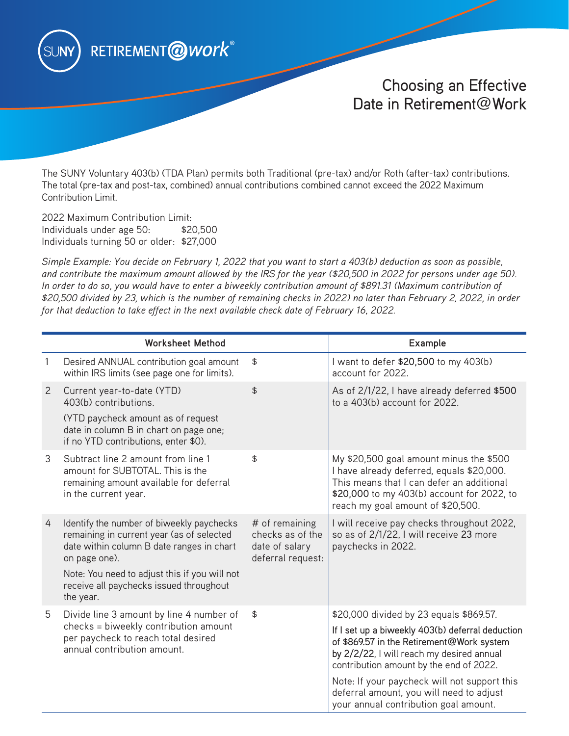

## Choosing an Effective Date in Retirement@Work

The SUNY Voluntary 403(b) (TDA Plan) permits both Traditional (pre-tax) and/or Roth (after-tax) contributions. The total (pre-tax and post-tax, combined) annual contributions combined cannot exceed the 2022 Maximum Contribution Limit.

2022 Maximum Contribution Limit: Individuals under age 50: \$20,500 Individuals turning 50 or older: \$27,000

*Simple Example: You decide on February 1, 2022 that you want to start a 403(b) deduction as soon as possible, and contribute the maximum amount allowed by the IRS for the year (\$20,500 in 2022 for persons under age 50). In order to do so, you would have to enter a biweekly contribution amount of \$891.31 (Maximum contribution of \$20,500 divided by 23, which is the number of remaining checks in 2022) no later than February 2, 2022, in order for that deduction to take effect in the next available check date of February 16, 2022.* 

|   | <b>Worksheet Method</b>                                                                                                                                 |                                                                           | Example                                                                                                                                                                                                              |
|---|---------------------------------------------------------------------------------------------------------------------------------------------------------|---------------------------------------------------------------------------|----------------------------------------------------------------------------------------------------------------------------------------------------------------------------------------------------------------------|
| 1 | Desired ANNUAL contribution goal amount<br>within IRS limits (see page one for limits).                                                                 | \$                                                                        | I want to defer \$20,500 to my 403(b)<br>account for 2022.                                                                                                                                                           |
| 2 | Current year-to-date (YTD)<br>403(b) contributions.                                                                                                     | $\frac{1}{2}$                                                             | As of 2/1/22, I have already deferred \$500<br>to a $403(b)$ account for $2022$ .                                                                                                                                    |
|   | (YTD paycheck amount as of request<br>date in column B in chart on page one;<br>if no YTD contributions, enter \$0).                                    |                                                                           |                                                                                                                                                                                                                      |
| 3 | Subtract line 2 amount from line 1<br>amount for SUBTOTAL. This is the<br>remaining amount available for deferral<br>in the current year.               | \$                                                                        | My \$20,500 goal amount minus the \$500<br>I have already deferred, equals \$20,000.<br>This means that I can defer an additional<br>\$20,000 to my 403(b) account for 2022, to<br>reach my goal amount of \$20,500. |
| 4 | Identify the number of biweekly paychecks<br>remaining in current year (as of selected<br>date within column B date ranges in chart<br>on page one).    | # of remaining<br>checks as of the<br>date of salary<br>deferral request: | I will receive pay checks throughout 2022,<br>so as of 2/1/22, I will receive 23 more<br>paychecks in 2022.                                                                                                          |
|   | Note: You need to adjust this if you will not<br>receive all paychecks issued throughout<br>the year.                                                   |                                                                           |                                                                                                                                                                                                                      |
| 5 | Divide line 3 amount by line 4 number of<br>checks = biweekly contribution amount<br>per paycheck to reach total desired<br>annual contribution amount. | \$                                                                        | \$20,000 divided by 23 equals \$869.57.                                                                                                                                                                              |
|   |                                                                                                                                                         |                                                                           | If I set up a biweekly 403(b) deferral deduction<br>of \$869.57 in the Retirement@Work system<br>by 2/2/22, I will reach my desired annual<br>contribution amount by the end of 2022.                                |
|   |                                                                                                                                                         |                                                                           | Note: If your paycheck will not support this<br>deferral amount, you will need to adjust<br>your annual contribution goal amount.                                                                                    |